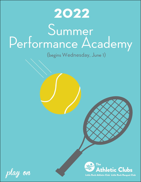# Summer Performance Academy **2022**

(begins Wednesday, June 1)



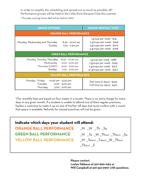In order to simplify the scheduling and spread out as much as possible, all\* Performance groups will be held at the Little Rock Racquet Club this summer. \*Thursday evening Green Ball will be held at LRAC

| <b>GROUP OPTIONS</b>                                                                                                                         | <b>GROUP MONTHLY FEES*</b>                                                                                       |  |  |
|----------------------------------------------------------------------------------------------------------------------------------------------|------------------------------------------------------------------------------------------------------------------|--|--|
| <b>ORANGE BALL PERFORMANCE</b>                                                                                                               |                                                                                                                  |  |  |
| Monday, Wednesday and Thursday<br>8:30 - 10:00 am<br>Sunday<br>1:00 - 2:30 pm                                                                | 1 group per week - \$141<br>2 groups per week - \$259<br>3 groups per week - \$279<br>4 groups per week - \$298  |  |  |
| <b>GREEN BALL PERFORMANCE</b>                                                                                                                |                                                                                                                  |  |  |
| Monday, Tuesday, Thursday<br>8:30 - 10:30 am<br>Wednesday<br>3:00 - 5:00 pm<br>Thursday (LRAC)<br>4:00 - 6:00 pm<br>Sunday<br>1:00 - 3:00 pm | 1 group per week - \$188<br>2 groups per week - \$345<br>3 groups per week - \$372<br>4+ groups per week - \$401 |  |  |
| <b>YELLOW BALL PERFORMANCE</b>                                                                                                               |                                                                                                                  |  |  |
| Monday - Friday<br>10:30 am - 12:30 pm<br>Tuesday<br>3:00 - 5:00 pm<br>Thursday<br>3:00 - 5:00 pm                                            | Part time (2 days) - \$345<br>Full time (4+ days) - \$401                                                        |  |  |

\*Our monthly fees are based on four weeks in a month. There is no extra charge for extra days in any given month. If a student is unable to attend one of their regular practices, he/she is welcome to make it up on one of his/her off days but must confirm with a coach that space is available. Refunds for missed practices will not be given.

### **Indicate which days your student will attend:**

**ORANGE BALL PERFORMANCE GREEN BALL PERFORMANCE YELLOW BALL PERFORMANCE** 

- \_\_M \_\_W \_\_Th \_\_Su
- $-M$   $Tu$   $W$   $Th_{(am)}$   $Th_{(pm)}$   $Su$
- $-M$   $\prod$ U(am)  $\prod$ U(pm)  $\prod$   $W$   $\prod$   $\prod$   $h$ (am)
- $_$ Th\_{(pm)} F

**Please contact Leslye Gibbens at 501-960-1263 or Will Campbell at 501-551-0997 with questions.**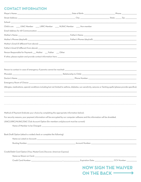## **CONTACT INFORMATION**

| Child is an: ______ LRAC Member ______ LRRC Member _____ NLRAC Member _____ Non-member                                                                             |                                                                       |
|--------------------------------------------------------------------------------------------------------------------------------------------------------------------|-----------------------------------------------------------------------|
|                                                                                                                                                                    |                                                                       |
|                                                                                                                                                                    |                                                                       |
|                                                                                                                                                                    |                                                                       |
|                                                                                                                                                                    |                                                                       |
|                                                                                                                                                                    |                                                                       |
| Person Responsible for Payment: __ Mother __ Father __ Other                                                                                                       |                                                                       |
|                                                                                                                                                                    |                                                                       |
|                                                                                                                                                                    |                                                                       |
|                                                                                                                                                                    |                                                                       |
|                                                                                                                                                                    |                                                                       |
|                                                                                                                                                                    |                                                                       |
| Allergies, medications, special conditions including but not limited to asthma, diabetes, sun sensitivity, seizures or fainting spells (please provide specifics): |                                                                       |
|                                                                                                                                                                    |                                                                       |
| Method of Payment (Indicate your choice by completing the appropriate information below):                                                                          |                                                                       |
| For security reasons, your payment information will be encrypted by our computer software and this information will be shredded.                                   |                                                                       |
| LRAC/LRRC/NLRAC/DAC Club Account Option (for members only/account must be current)                                                                                 |                                                                       |
|                                                                                                                                                                    |                                                                       |
| Bank Draft Option (attach a voided check or complete the following)                                                                                                |                                                                       |
|                                                                                                                                                                    |                                                                       |
|                                                                                                                                                                    |                                                                       |
| Credit/Debit Card Option (Visa, MasterCard, Discover, American Express)                                                                                            |                                                                       |
|                                                                                                                                                                    |                                                                       |
|                                                                                                                                                                    | Expiration Date: _____________________CCV Number: __________          |
|                                                                                                                                                                    | <b>NOW SIGN THE WAIVER</b>                                            |
|                                                                                                                                                                    |                                                                       |
|                                                                                                                                                                    | ON THE BACK $\overline{\phantom{iiiiiiiiiiiiiijjiijjjjjjjjjjjjjjjj}}$ |